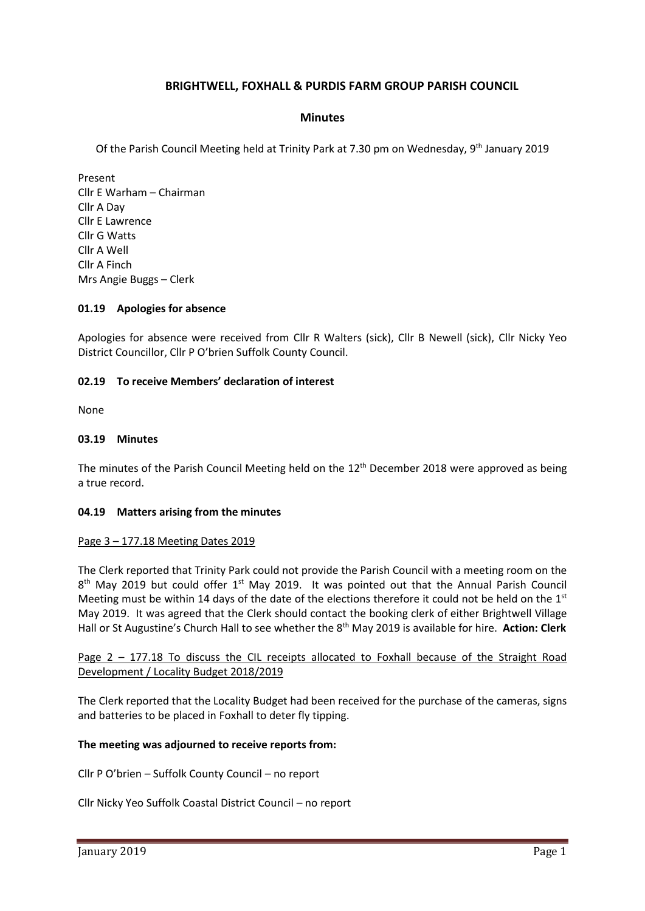# **BRIGHTWELL, FOXHALL & PURDIS FARM GROUP PARISH COUNCIL**

### **Minutes**

Of the Parish Council Meeting held at Trinity Park at 7.30 pm on Wednesday, 9<sup>th</sup> January 2019

Present Cllr E Warham – Chairman Cllr A Day Cllr E Lawrence Cllr G Watts Cllr A Well Cllr A Finch Mrs Angie Buggs – Clerk

#### **01.19 Apologies for absence**

Apologies for absence were received from Cllr R Walters (sick), Cllr B Newell (sick), Cllr Nicky Yeo District Councillor, Cllr P O'brien Suffolk County Council.

### **02.19 To receive Members' declaration of interest**

None

#### **03.19 Minutes**

The minutes of the Parish Council Meeting held on the 12<sup>th</sup> December 2018 were approved as being a true record.

#### **04.19 Matters arising from the minutes**

#### Page 3 – 177.18 Meeting Dates 2019

The Clerk reported that Trinity Park could not provide the Parish Council with a meeting room on the  $8<sup>th</sup>$  May 2019 but could offer  $1<sup>st</sup>$  May 2019. It was pointed out that the Annual Parish Council Meeting must be within 14 days of the date of the elections therefore it could not be held on the  $1<sup>st</sup>$ May 2019. It was agreed that the Clerk should contact the booking clerk of either Brightwell Village Hall or St Augustine's Church Hall to see whether the 8th May 2019 is available for hire. **Action: Clerk**

## Page 2 - 177.18 To discuss the CIL receipts allocated to Foxhall because of the Straight Road Development / Locality Budget 2018/2019

The Clerk reported that the Locality Budget had been received for the purchase of the cameras, signs and batteries to be placed in Foxhall to deter fly tipping.

#### **The meeting was adjourned to receive reports from:**

Cllr P O'brien – Suffolk County Council – no report

Cllr Nicky Yeo Suffolk Coastal District Council – no report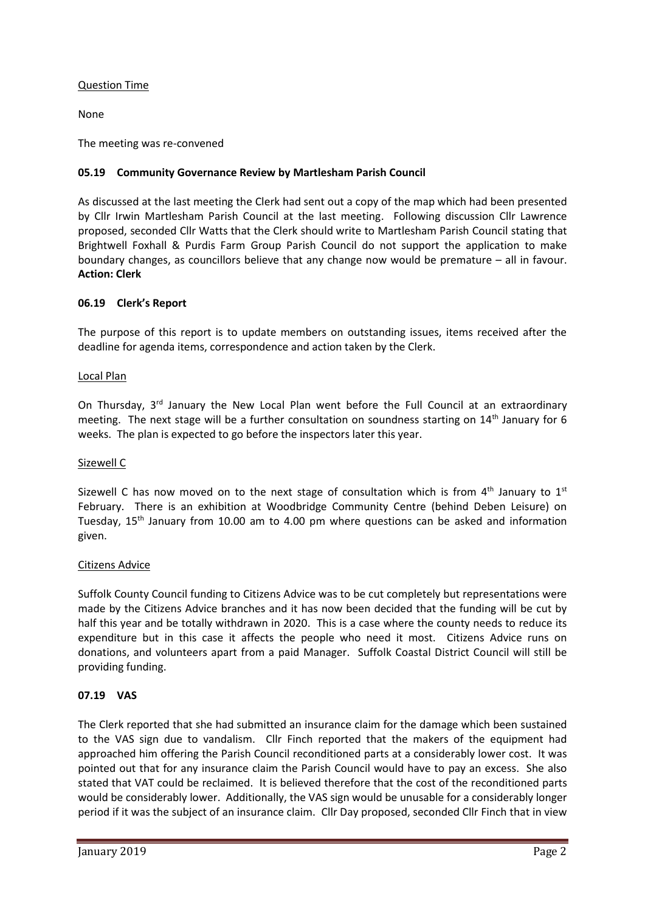## Question Time

None

The meeting was re-convened

## **05.19 Community Governance Review by Martlesham Parish Council**

As discussed at the last meeting the Clerk had sent out a copy of the map which had been presented by Cllr Irwin Martlesham Parish Council at the last meeting. Following discussion Cllr Lawrence proposed, seconded Cllr Watts that the Clerk should write to Martlesham Parish Council stating that Brightwell Foxhall & Purdis Farm Group Parish Council do not support the application to make boundary changes, as councillors believe that any change now would be premature – all in favour. **Action: Clerk**

### **06.19 Clerk's Report**

The purpose of this report is to update members on outstanding issues, items received after the deadline for agenda items, correspondence and action taken by the Clerk.

### Local Plan

On Thursday, 3<sup>rd</sup> January the New Local Plan went before the Full Council at an extraordinary meeting. The next stage will be a further consultation on soundness starting on 14<sup>th</sup> January for 6 weeks. The plan is expected to go before the inspectors later this year.

## Sizewell C

Sizewell C has now moved on to the next stage of consultation which is from  $4<sup>th</sup>$  January to  $1<sup>st</sup>$ February. There is an exhibition at Woodbridge Community Centre (behind Deben Leisure) on Tuesday, 15th January from 10.00 am to 4.00 pm where questions can be asked and information given.

#### Citizens Advice

Suffolk County Council funding to Citizens Advice was to be cut completely but representations were made by the Citizens Advice branches and it has now been decided that the funding will be cut by half this year and be totally withdrawn in 2020. This is a case where the county needs to reduce its expenditure but in this case it affects the people who need it most. Citizens Advice runs on donations, and volunteers apart from a paid Manager. Suffolk Coastal District Council will still be providing funding.

## **07.19 VAS**

The Clerk reported that she had submitted an insurance claim for the damage which been sustained to the VAS sign due to vandalism. Cllr Finch reported that the makers of the equipment had approached him offering the Parish Council reconditioned parts at a considerably lower cost. It was pointed out that for any insurance claim the Parish Council would have to pay an excess. She also stated that VAT could be reclaimed. It is believed therefore that the cost of the reconditioned parts would be considerably lower. Additionally, the VAS sign would be unusable for a considerably longer period if it was the subject of an insurance claim. Cllr Day proposed, seconded Cllr Finch that in view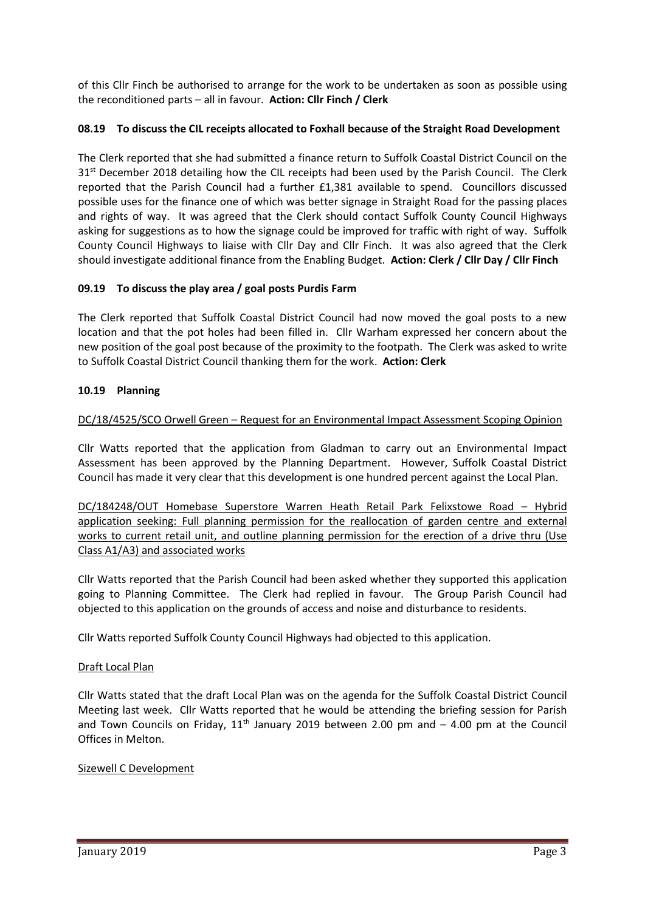of this Cllr Finch be authorised to arrange for the work to be undertaken as soon as possible using the reconditioned parts – all in favour. **Action: Cllr Finch / Clerk**

## **08.19 To discuss the CIL receipts allocated to Foxhall because of the Straight Road Development**

The Clerk reported that she had submitted a finance return to Suffolk Coastal District Council on the 31<sup>st</sup> December 2018 detailing how the CIL receipts had been used by the Parish Council. The Clerk reported that the Parish Council had a further £1,381 available to spend. Councillors discussed possible uses for the finance one of which was better signage in Straight Road for the passing places and rights of way. It was agreed that the Clerk should contact Suffolk County Council Highways asking for suggestions as to how the signage could be improved for traffic with right of way. Suffolk County Council Highways to liaise with Cllr Day and Cllr Finch. It was also agreed that the Clerk should investigate additional finance from the Enabling Budget. **Action: Clerk / Cllr Day / Cllr Finch**

### **09.19 To discuss the play area / goal posts Purdis Farm**

The Clerk reported that Suffolk Coastal District Council had now moved the goal posts to a new location and that the pot holes had been filled in. Cllr Warham expressed her concern about the new position of the goal post because of the proximity to the footpath. The Clerk was asked to write to Suffolk Coastal District Council thanking them for the work. **Action: Clerk**

### **10.19 Planning**

#### DC/18/4525/SCO Orwell Green – Request for an Environmental Impact Assessment Scoping Opinion

Cllr Watts reported that the application from Gladman to carry out an Environmental Impact Assessment has been approved by the Planning Department. However, Suffolk Coastal District Council has made it very clear that this development is one hundred percent against the Local Plan.

DC/184248/OUT Homebase Superstore Warren Heath Retail Park Felixstowe Road – Hybrid application seeking: Full planning permission for the reallocation of garden centre and external works to current retail unit, and outline planning permission for the erection of a drive thru (Use Class A1/A3) and associated works

Cllr Watts reported that the Parish Council had been asked whether they supported this application going to Planning Committee. The Clerk had replied in favour. The Group Parish Council had objected to this application on the grounds of access and noise and disturbance to residents.

Cllr Watts reported Suffolk County Council Highways had objected to this application.

#### Draft Local Plan

Cllr Watts stated that the draft Local Plan was on the agenda for the Suffolk Coastal District Council Meeting last week. Cllr Watts reported that he would be attending the briefing session for Parish and Town Councils on Friday,  $11<sup>th</sup>$  January 2019 between 2.00 pm and  $-$  4.00 pm at the Council Offices in Melton.

#### Sizewell C Development